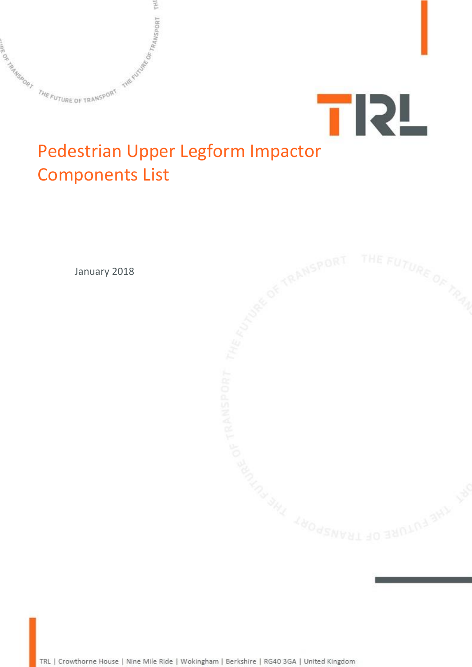



## Pedestrian Upper Legform Impactor Components List

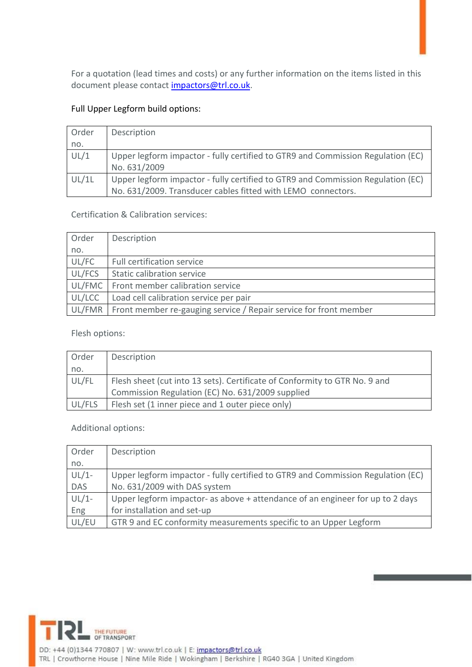For a quotation (lead times and costs) or any further information on the items listed in this document please contact [impactors@trl.co.uk.](mailto:impactors@trl.co.uk)

## Full Upper Legform build options:

| Order | Description                                                                                                                                     |
|-------|-------------------------------------------------------------------------------------------------------------------------------------------------|
| no.   |                                                                                                                                                 |
| UL/1  | Upper legform impactor - fully certified to GTR9 and Commission Regulation (EC)<br>No. 631/2009                                                 |
| UL/1L | Upper legform impactor - fully certified to GTR9 and Commission Regulation (EC)<br>No. 631/2009. Transducer cables fitted with LEMO connectors. |

Certification & Calibration services:

| Order  | Description                                                                |
|--------|----------------------------------------------------------------------------|
| no.    |                                                                            |
| UL/FC  | Full certification service                                                 |
| UL/FCS | Static calibration service                                                 |
| UL/FMC | Front member calibration service                                           |
| UL/LCC | Load cell calibration service per pair                                     |
|        | UL/FMR   Front member re-gauging service / Repair service for front member |

Flesh options:

| Order  | Description                                                                |
|--------|----------------------------------------------------------------------------|
| no.    |                                                                            |
| UL/FL  | Flesh sheet (cut into 13 sets). Certificate of Conformity to GTR No. 9 and |
|        | Commission Regulation (EC) No. 631/2009 supplied                           |
| UL/FLS | Flesh set (1 inner piece and 1 outer piece only)                           |

Additional options:

| Order      | Description                                                                     |
|------------|---------------------------------------------------------------------------------|
| no.        |                                                                                 |
| $UL/1-$    | Upper legform impactor - fully certified to GTR9 and Commission Regulation (EC) |
| <b>DAS</b> | No. 631/2009 with DAS system                                                    |
| $UL/1-$    | Upper legform impactor- as above + attendance of an engineer for up to 2 days   |
| Eng        | for installation and set-up                                                     |
| UL/EU      | GTR 9 and EC conformity measurements specific to an Upper Legform               |